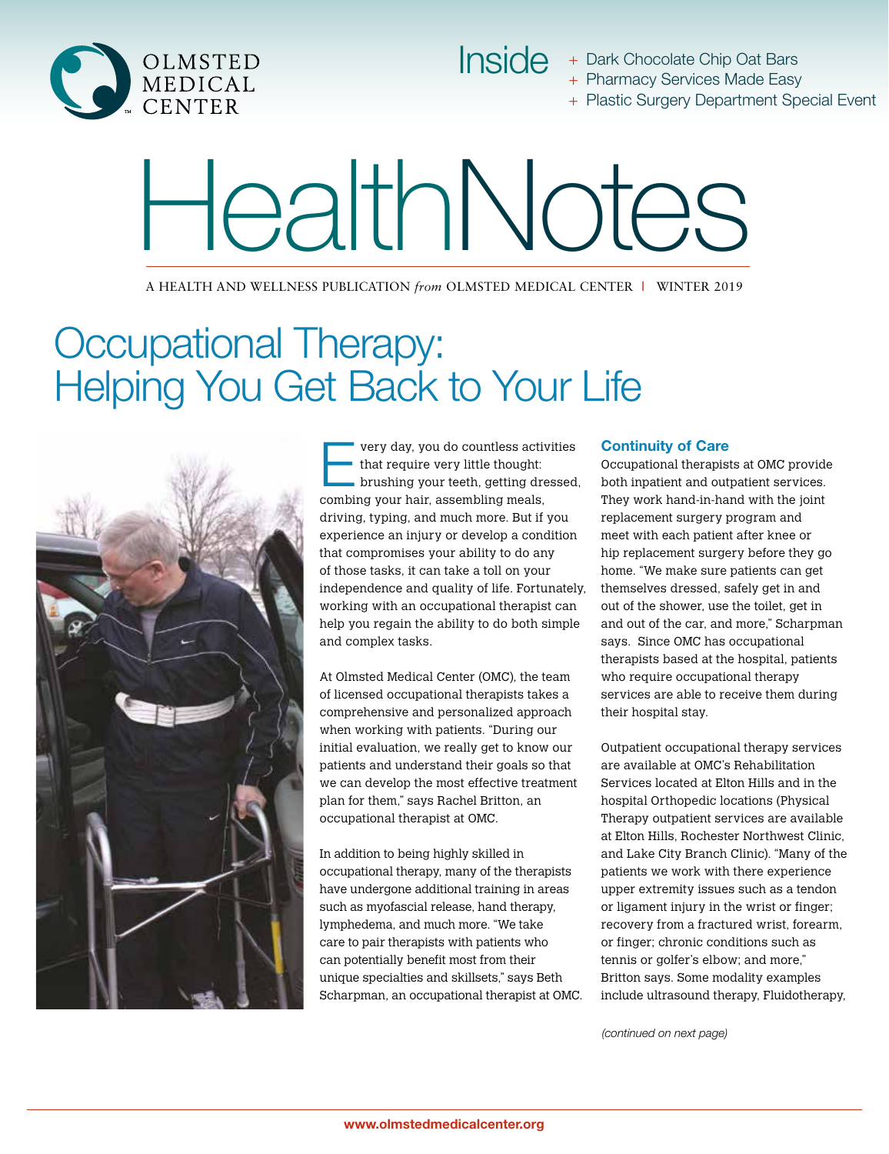

Inside + Dark Chocolate Chip Oat Bars + Pharmacy Services Made Easy

+ Plastic Surgery Department Special Event

# HealthNotes

A HEALTH AND WELLNESS PUBLICATION *from* OLMSTED MEDICAL CENTER **|** WINTER 2019

## Occupational Therapy: Helping You Get Back to Your Life



Every day, you do countless activities brushing your teeth, getting dressed, that require very little thought: combing your hair, assembling meals, driving, typing, and much more. But if you experience an injury or develop a condition that compromises your ability to do any of those tasks, it can take a toll on your independence and quality of life. Fortunately, working with an occupational therapist can help you regain the ability to do both simple and complex tasks.

At Olmsted Medical Center (OMC), the team of licensed occupational therapists takes a comprehensive and personalized approach when working with patients. "During our initial evaluation, we really get to know our patients and understand their goals so that we can develop the most effective treatment plan for them," says Rachel Britton, an occupational therapist at OMC.

In addition to being highly skilled in occupational therapy, many of the therapists have undergone additional training in areas such as myofascial release, hand therapy, lymphedema, and much more. "We take care to pair therapists with patients who can potentially benefit most from their unique specialties and skillsets," says Beth Scharpman, an occupational therapist at OMC.

#### Continuity of Care

Occupational therapists at OMC provide both inpatient and outpatient services. They work hand-in-hand with the joint replacement surgery program and meet with each patient after knee or hip replacement surgery before they go home. "We make sure patients can get themselves dressed, safely get in and out of the shower, use the toilet, get in and out of the car, and more," Scharpman says. Since OMC has occupational therapists based at the hospital, patients who require occupational therapy services are able to receive them during their hospital stay.

Outpatient occupational therapy services are available at OMC's Rehabilitation Services located at Elton Hills and in the hospital Orthopedic locations (Physical Therapy outpatient services are available at Elton Hills, Rochester Northwest Clinic, and Lake City Branch Clinic). "Many of the patients we work with there experience upper extremity issues such as a tendon or ligament injury in the wrist or finger; recovery from a fractured wrist, forearm, or finger; chronic conditions such as tennis or golfer's elbow; and more," Britton says. Some modality examples include ultrasound therapy, Fluidotherapy,

*(continued on next page)*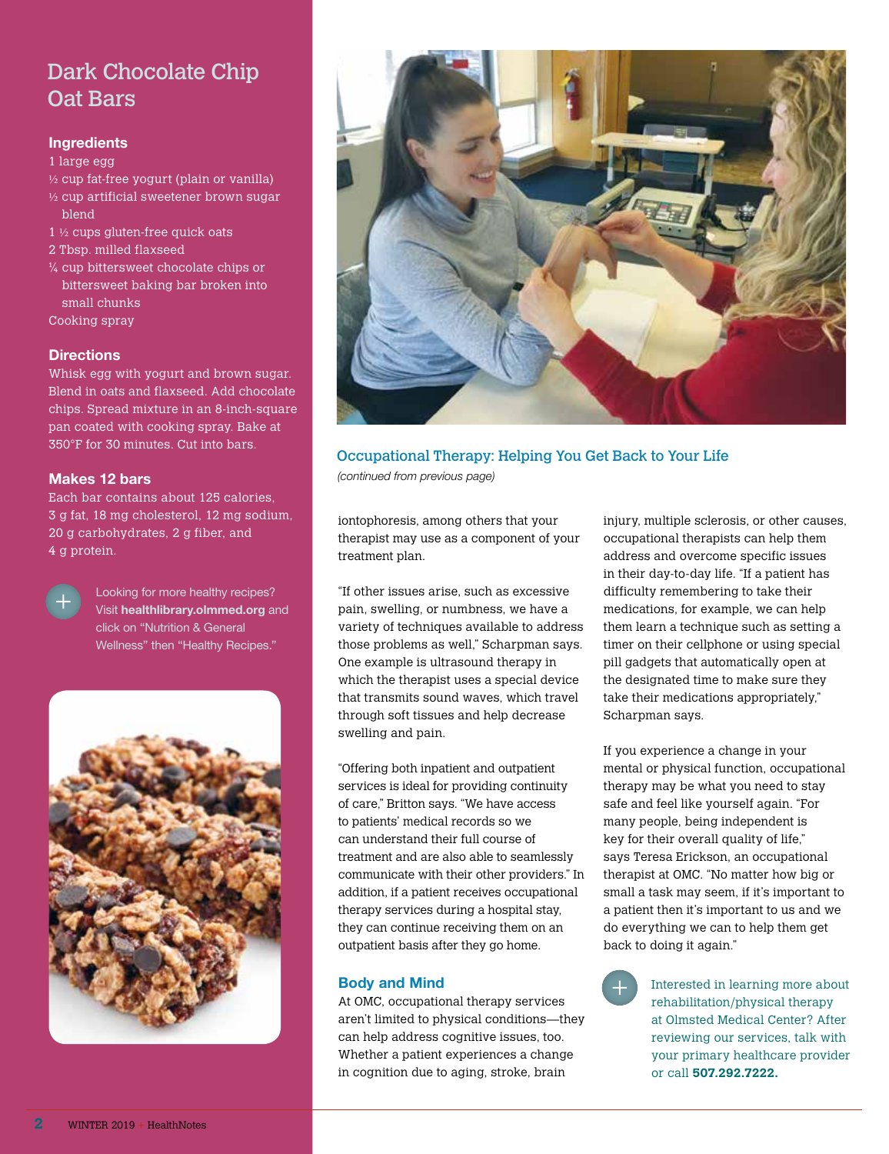## Dark Chocolate Chip Oat Bars

#### **Ingredients**

1 large egg

- $\frac{1}{2}$  cup fat-free yogurt (plain or vanilla)
- ½ cup artificial sweetener brown sugar blend
- 1 ½ cups gluten-free quick oats
- 2 Tbsp. milled flaxseed
- $\frac{1}{4}$  cup bittersweet chocolate chips or bittersweet baking bar broken into small chunks
- Cooking spray

#### **Directions**

Whisk egg with yogurt and brown sugar. Blend in oats and flaxseed. Add chocolate chips. Spread mixture in an 8-inch-square pan coated with cooking spray. Bake at 350°F for 30 minutes. Cut into bars.

#### Makes 12 bars

Each bar contains about 125 calories, 3 g fat, 18 mg cholesterol, 12 mg sodium, 20 g carbohydrates, 2 g fiber, and 4 g protein.



Looking for more healthy recipes? Visit healthlibrary.olmmed.org and click on "Nutrition & General Wellness" then "Healthy Recipes."





#### Occupational Therapy: Helping You Get Back to Your Life

*(continued from previous page)*

iontophoresis, among others that your therapist may use as a component of your treatment plan.

"If other issues arise, such as excessive pain, swelling, or numbness, we have a variety of techniques available to address those problems as well," Scharpman says. One example is ultrasound therapy in which the therapist uses a special device that transmits sound waves, which travel through soft tissues and help decrease swelling and pain.

"Offering both inpatient and outpatient services is ideal for providing continuity of care," Britton says. "We have access to patients' medical records so we can understand their full course of treatment and are also able to seamlessly communicate with their other providers." In addition, if a patient receives occupational therapy services during a hospital stay, they can continue receiving them on an outpatient basis after they go home.

#### Body and Mind

At OMC, occupational therapy services aren't limited to physical conditions—they can help address cognitive issues, too. Whether a patient experiences a change in cognition due to aging, stroke, brain

injury, multiple sclerosis, or other causes, occupational therapists can help them address and overcome specific issues in their day-to-day life. "If a patient has difficulty remembering to take their medications, for example, we can help them learn a technique such as setting a timer on their cellphone or using special pill gadgets that automatically open at the designated time to make sure they take their medications appropriately," Scharpman says.

If you experience a change in your mental or physical function, occupational therapy may be what you need to stay safe and feel like yourself again. "For many people, being independent is key for their overall quality of life," says Teresa Erickson, an occupational therapist at OMC. "No matter how big or small a task may seem, if it's important to a patient then it's important to us and we do everything we can to help them get back to doing it again."

> Interested in learning more about rehabilitation/physical therapy at Olmsted Medical Center? After reviewing our services, talk with your primary healthcare provider or call **507.292.7222.**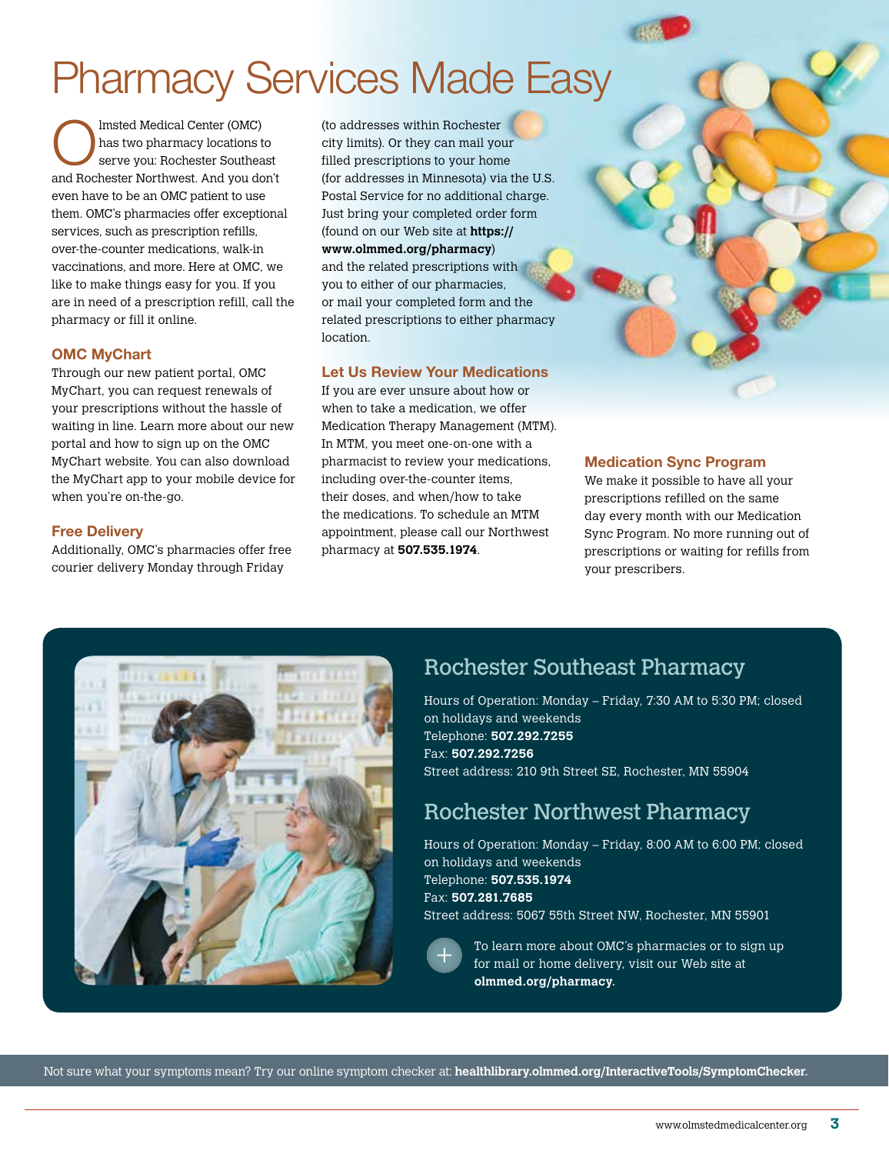## Pharmacy Services Made Easy

Imsted Medical Center (OMC) has two pharmacy locations to serve you: Rochester Southeast and Rochester Northwest. And you don't even have to be an OMC patient to use them. OMC's pharmacies offer exceptional services, such as prescription refills, over-the-counter medications, walk-in vaccinations, and more. Here at OMC, we like to make things easy for you. If you are in need of a prescription refill, call the pharmacy or fill it online.

#### OMC MyChart

Through our new patient portal, OMC MyChart, you can request renewals of your prescriptions without the hassle of waiting in line. Learn more about our new portal and how to sign up on the OMC MyChart website. You can also download the MyChart app to your mobile device for when you're on-the-go.

#### Free Delivery

Additionally, OMC's pharmacies offer free courier delivery Monday through Friday

(to addresses within Rochester city limits). Or they can mail your filled prescriptions to your home (for addresses in Minnesota) via the U.S. Postal Service for no additional charge. Just bring your completed order form (found on our Web site at **https:// www.olmmed.org/pharmacy**) and the related prescriptions with you to either of our pharmacies, or mail your completed form and the related prescriptions to either pharmacy location.

#### Let Us Review Your Medications

If you are ever unsure about how or when to take a medication, we offer Medication Therapy Management (MTM). In MTM, you meet one-on-one with a pharmacist to review your medications, including over-the-counter items, their doses, and when/how to take the medications. To schedule an MTM appointment, please call our Northwest pharmacy at **507.535.1974**.

#### Medication Sync Program

We make it possible to have all your prescriptions refilled on the same day every month with our Medication Sync Program. No more running out of prescriptions or waiting for refills from your prescribers.



## Rochester Southeast Pharmacy

Hours of Operation: Monday – Friday, 7:30 AM to 5:30 PM; closed on holidays and weekends Telephone: **507.292.7255** Fax: **507.292.7256** Street address: 210 9th Street SE, Rochester, MN 55904

### Rochester Northwest Pharmacy

Hours of Operation: Monday – Friday, 8:00 AM to 6:00 PM; closed on holidays and weekends Telephone: **507.535.1974** Fax: **507.281.7685** Street address: 5067 55th Street NW, Rochester, MN 55901

To learn more about OMC's pharmacies or to sign up for mail or home delivery, visit our Web site at **olmmed.org/pharmacy**.